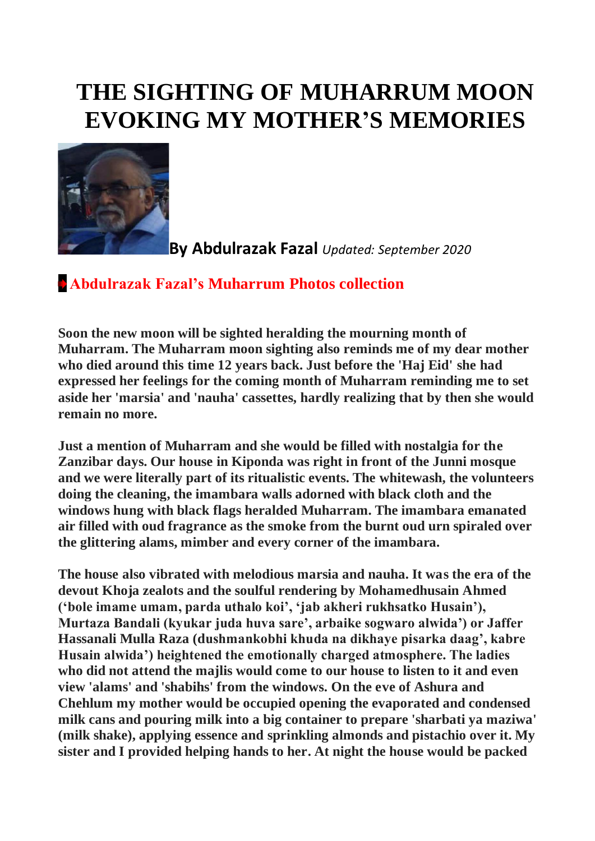## **THE SIGHTING OF MUHARRUM MOON EVOKING MY MOTHER'S MEMORIES**



**By Abdulrazak Fazal** *Updated: September 2020*

## **[Abdulrazak Fazal's Muharrum Photos collection](http://www.dewani.ca/2020NEW/AF/MumMuharum/MumMuharumPics.htm)**

**Soon the new moon will be sighted heralding the mourning month of Muharram. The Muharram moon sighting also reminds me of my dear mother who died around this time 12 years back. Just before the 'Haj Eid' she had expressed her feelings for the coming month of Muharram reminding me to set aside her 'marsia' and 'nauha' cassettes, hardly realizing that by then she would remain no more.**

**Just a mention of Muharram and she would be filled with nostalgia for the Zanzibar days. Our house in Kiponda was right in front of the Junni mosque and we were literally part of its ritualistic events. The whitewash, the volunteers doing the cleaning, the imambara walls adorned with black cloth and the windows hung with black flags heralded Muharram. The imambara emanated air filled with oud fragrance as the smoke from the burnt oud urn spiraled over the glittering alams, mimber and every corner of the imambara.**

**The house also vibrated with melodious marsia and nauha. It was the era of the devout Khoja zealots and the soulful rendering by Mohamedhusain Ahmed ('bole imame umam, parda uthalo koi', 'jab akheri rukhsatko Husain'), Murtaza Bandali (kyukar juda huva sare', arbaike sogwaro alwida') or Jaffer Hassanali Mulla Raza (dushmankobhi khuda na dikhaye pisarka daag', kabre Husain alwida') heightened the emotionally charged atmosphere. The ladies who did not attend the majlis would come to our house to listen to it and even view 'alams' and 'shabihs' from the windows. On the eve of Ashura and Chehlum my mother would be occupied opening the evaporated and condensed milk cans and pouring milk into a big container to prepare 'sharbati ya maziwa' (milk shake), applying essence and sprinkling almonds and pistachio over it. My sister and I provided helping hands to her. At night the house would be packed**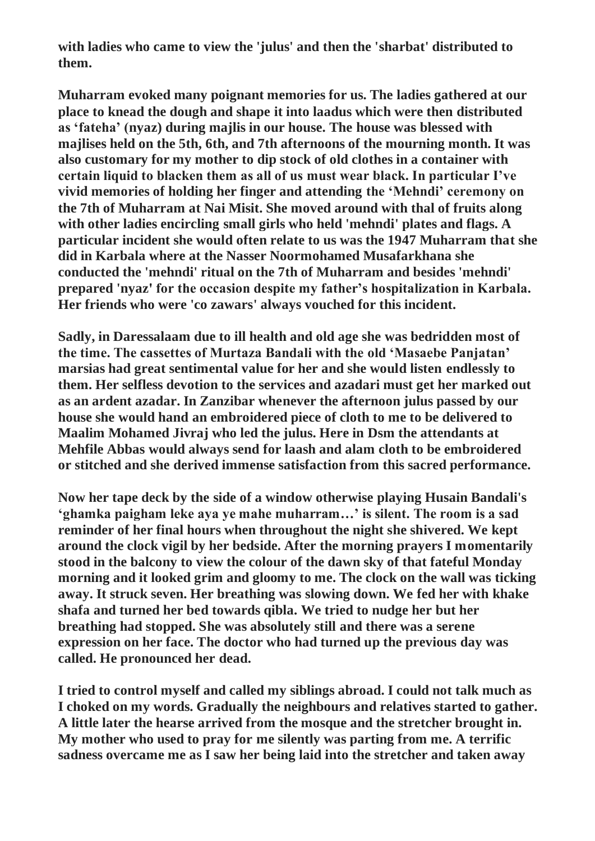**with ladies who came to view the 'julus' and then the 'sharbat' distributed to them.**

**Muharram evoked many poignant memories for us. The ladies gathered at our place to knead the dough and shape it into laadus which were then distributed as 'fateha' (nyaz) during majlis in our house. The house was blessed with majlises held on the 5th, 6th, and 7th afternoons of the mourning month. It was also customary for my mother to dip stock of old clothes in a container with certain liquid to blacken them as all of us must wear black. In particular I've vivid memories of holding her finger and attending the 'Mehndi' ceremony on the 7th of Muharram at Nai Misit. She moved around with thal of fruits along with other ladies encircling small girls who held 'mehndi' plates and flags. A particular incident she would often relate to us was the 1947 Muharram that she did in Karbala where at the Nasser Noormohamed Musafarkhana she conducted the 'mehndi' ritual on the 7th of Muharram and besides 'mehndi' prepared 'nyaz' for the occasion despite my father's hospitalization in Karbala. Her friends who were 'co zawars' always vouched for this incident.**

**Sadly, in Daressalaam due to ill health and old age she was bedridden most of the time. The cassettes of Murtaza Bandali with the old 'Masaebe Panjatan' marsias had great sentimental value for her and she would listen endlessly to them. Her selfless devotion to the services and azadari must get her marked out as an ardent azadar. In Zanzibar whenever the afternoon julus passed by our house she would hand an embroidered piece of cloth to me to be delivered to Maalim Mohamed Jivraj who led the julus. Here in Dsm the attendants at Mehfile Abbas would always send for laash and alam cloth to be embroidered or stitched and she derived immense satisfaction from this sacred performance.**

**Now her tape deck by the side of a window otherwise playing Husain Bandali's 'ghamka paigham leke aya ye mahe muharram…' is silent. The room is a sad reminder of her final hours when throughout the night she shivered. We kept around the clock vigil by her bedside. After the morning prayers I momentarily stood in the balcony to view the colour of the dawn sky of that fateful Monday morning and it looked grim and gloomy to me. The clock on the wall was ticking away. It struck seven. Her breathing was slowing down. We fed her with khake shafa and turned her bed towards qibla. We tried to nudge her but her breathing had stopped. She was absolutely still and there was a serene expression on her face. The doctor who had turned up the previous day was called. He pronounced her dead.**

**I tried to control myself and called my siblings abroad. I could not talk much as I choked on my words. Gradually the neighbours and relatives started to gather. A little later the hearse arrived from the mosque and the stretcher brought in. My mother who used to pray for me silently was parting from me. A terrific sadness overcame me as I saw her being laid into the stretcher and taken away**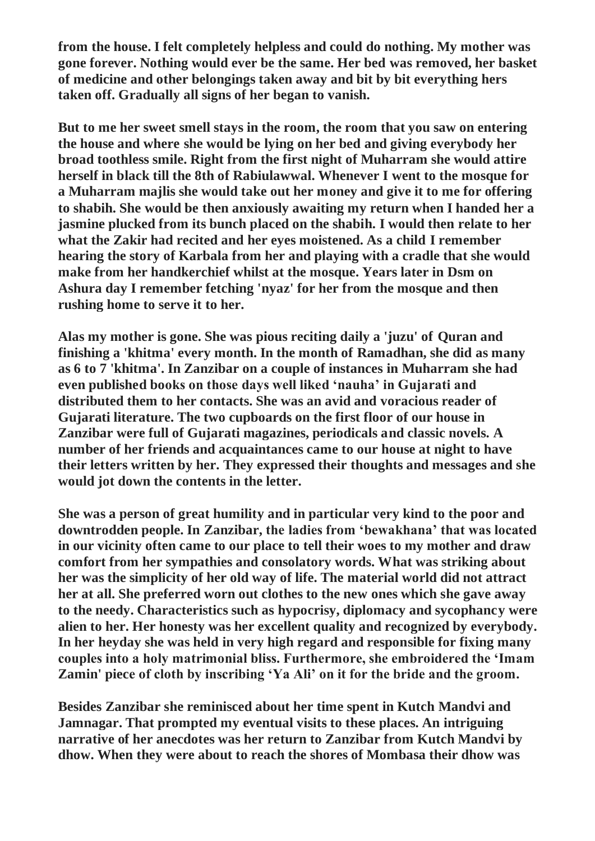**from the house. I felt completely helpless and could do nothing. My mother was gone forever. Nothing would ever be the same. Her bed was removed, her basket of medicine and other belongings taken away and bit by bit everything hers taken off. Gradually all signs of her began to vanish.**

**But to me her sweet smell stays in the room, the room that you saw on entering the house and where she would be lying on her bed and giving everybody her broad toothless smile. Right from the first night of Muharram she would attire herself in black till the 8th of Rabiulawwal. Whenever I went to the mosque for a Muharram majlis she would take out her money and give it to me for offering to shabih. She would be then anxiously awaiting my return when I handed her a jasmine plucked from its bunch placed on the shabih. I would then relate to her what the Zakir had recited and her eyes moistened. As a child I remember hearing the story of Karbala from her and playing with a cradle that she would make from her handkerchief whilst at the mosque. Years later in Dsm on Ashura day I remember fetching 'nyaz' for her from the mosque and then rushing home to serve it to her.**

**Alas my mother is gone. She was pious reciting daily a 'juzu' of Quran and finishing a 'khitma' every month. In the month of Ramadhan, she did as many as 6 to 7 'khitma'. In Zanzibar on a couple of instances in Muharram she had even published books on those days well liked 'nauha' in Gujarati and distributed them to her contacts. She was an avid and voracious reader of Gujarati literature. The two cupboards on the first floor of our house in Zanzibar were full of Gujarati magazines, periodicals and classic novels. A number of her friends and acquaintances came to our house at night to have their letters written by her. They expressed their thoughts and messages and she would jot down the contents in the letter.**

**She was a person of great humility and in particular very kind to the poor and downtrodden people. In Zanzibar, the ladies from 'bewakhana' that was located in our vicinity often came to our place to tell their woes to my mother and draw comfort from her sympathies and consolatory words. What was striking about her was the simplicity of her old way of life. The material world did not attract her at all. She preferred worn out clothes to the new ones which she gave away to the needy. Characteristics such as hypocrisy, diplomacy and sycophancy were alien to her. Her honesty was her excellent quality and recognized by everybody. In her heyday she was held in very high regard and responsible for fixing many couples into a holy matrimonial bliss. Furthermore, she embroidered the 'Imam Zamin' piece of cloth by inscribing 'Ya Ali' on it for the bride and the groom.**

**Besides Zanzibar she reminisced about her time spent in Kutch Mandvi and Jamnagar. That prompted my eventual visits to these places. An intriguing narrative of her anecdotes was her return to Zanzibar from Kutch Mandvi by dhow. When they were about to reach the shores of Mombasa their dhow was**